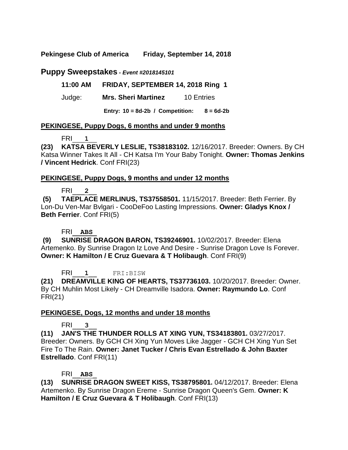**Pekingese Club of America Friday, September 14, 2018**

# **Puppy Sweepstakes** *- Event #2018145101*

### **11:00 AM FRIDAY, SEPTEMBER 14, 2018 Ring 1**

### Judge: **Mrs. Sheri Martinez** 10 Entries

**Entry: 10 = 8d-2b / Competition: 8 = 6d-2b**

### **PEKINGESE, Puppy Dogs, 6 months and under 9 months**

### FRI\_\_\_**1**\_\_

**(23) KATSA BEVERLY LESLIE, TS38183102.** 12/16/2017. Breeder: Owners. By CH Katsa Winner Takes It All - CH Katsa I'm Your Baby Tonight. **Owner: Thomas Jenkins / Vincent Hedrick**. Conf FRI(23)

#### **PEKINGESE, Puppy Dogs, 9 months and under 12 months**

### FRI\_\_\_**2**\_\_

**(5) TAEPLACE MERLINUS, TS37558501.** 11/15/2017. Breeder: Beth Ferrier. By Lon-Du Ven-Mar Bvlgari - CooDeFoo Lasting Impressions. **Owner: Gladys Knox / Beth Ferrier**. Conf FRI(5)

### FRI\_\_**ABS**\_

**(9) SUNRISE DRAGON BARON, TS39246901.** 10/02/2017. Breeder: Elena Artemenko. By Sunrise Dragon Iz Love And Desire - Sunrise Dragon Love Is Forever. **Owner: K Hamilton / E Cruz Guevara & T Holibaugh**. Conf FRI(9)

FRI\_\_\_**1**\_\_ FRI:BISW

**(21) DREAMVILLE KING OF HEARTS, TS37736103.** 10/20/2017. Breeder: Owner. By CH Muhlin Most Likely - CH Dreamville Isadora. **Owner: Raymundo Lo**. Conf FRI(21)

### **PEKINGESE, Dogs, 12 months and under 18 months**

### FRI\_\_\_**3**\_\_

**(11) JAN'S THE THUNDER ROLLS AT XING YUN, TS34183801.** 03/27/2017. Breeder: Owners. By GCH CH Xing Yun Moves Like Jagger - GCH CH Xing Yun Set Fire To The Rain. **Owner: Janet Tucker / Chris Evan Estrellado & John Baxter Estrellado**. Conf FRI(11)

### FRI\_\_**ABS**\_

**(13) SUNRISE DRAGON SWEET KISS, TS38795801.** 04/12/2017. Breeder: Elena Artemenko. By Sunrise Dragon Ereme - Sunrise Dragon Queen's Gem. **Owner: K Hamilton / E Cruz Guevara & T Holibaugh**. Conf FRI(13)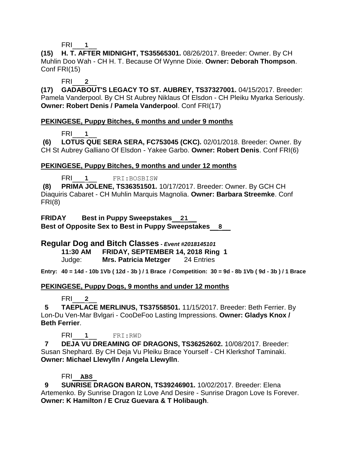FRI\_\_\_**1**\_\_

**(15) H. T. AFTER MIDNIGHT, TS35565301.** 08/26/2017. Breeder: Owner. By CH Muhlin Doo Wah - CH H. T. Because Of Wynne Dixie. **Owner: Deborah Thompson**. Conf FRI(15)

FRI\_\_\_**2**\_\_

**(17) GADABOUT'S LEGACY TO ST. AUBREY, TS37327001.** 04/15/2017. Breeder: Pamela Vanderpool. By CH St Aubrey Niklaus Of Elsdon - CH Pleiku Myarka Seriously. **Owner: Robert Denis / Pamela Vanderpool**. Conf FRI(17)

# **PEKINGESE, Puppy Bitches, 6 months and under 9 months**

FRI\_\_\_**1**\_\_

**(6) LOTUS QUE SERA SERA, FC753045 (CKC).** 02/01/2018. Breeder: Owner. By CH St Aubrey Galliano Of Elsdon - Yakee Garbo. **Owner: Robert Denis**. Conf FRI(6)

# **PEKINGESE, Puppy Bitches, 9 months and under 12 months**

FRI\_\_\_**1**\_\_ FRI:BOSBISW

**(8) PRIMA JOLENE, TS36351501.** 10/17/2017. Breeder: Owner. By GCH CH Diaquiris Cabaret - CH Muhlin Marquis Magnolia. **Owner: Barbara Streemke**. Conf FRI(8)

**FRIDAY Best in Puppy Sweepstakes\_\_21\_\_ Best of Opposite Sex to Best in Puppy Sweepstakes\_\_8\_\_**

# **Regular Dog and Bitch Classes** *- Event #2018145101*

**11:30 AM FRIDAY, SEPTEMBER 14, 2018 Ring 1**

Judge: **Mrs. Patricia Metzger** 24 Entries

**Entry: 40 = 14d - 10b 1Vb ( 12d - 3b ) / 1 Brace / Competition: 30 = 9d - 8b 1Vb ( 9d - 3b ) / 1 Brace**

### **PEKINGESE, Puppy Dogs, 9 months and under 12 months**

FRI\_\_\_**2**\_\_

 **5 TAEPLACE MERLINUS, TS37558501.** 11/15/2017. Breeder: Beth Ferrier. By Lon-Du Ven-Mar Bvlgari - CooDeFoo Lasting Impressions. **Owner: Gladys Knox / Beth Ferrier**.

FRI\_\_\_**1**\_\_ FRI:RWD

 **7 DEJA VU DREAMING OF DRAGONS, TS36252602.** 10/08/2017. Breeder: Susan Shephard. By CH Deja Vu Pleiku Brace Yourself - CH Klerkshof Taminaki. **Owner: Michael Llewylln / Angela Llewylln**.

# FRI\_\_**ABS**\_

 **9 SUNRISE DRAGON BARON, TS39246901.** 10/02/2017. Breeder: Elena Artemenko. By Sunrise Dragon Iz Love And Desire - Sunrise Dragon Love Is Forever. **Owner: K Hamilton / E Cruz Guevara & T Holibaugh**.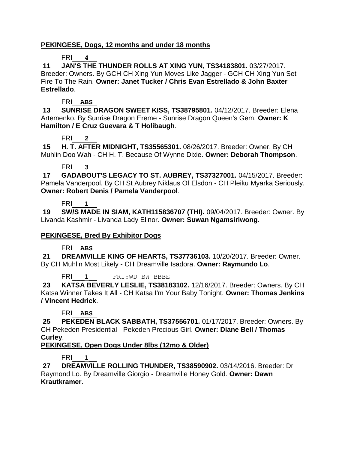### **PEKINGESE, Dogs, 12 months and under 18 months**

# FRI\_\_\_**4**\_\_

**11 JAN'S THE THUNDER ROLLS AT XING YUN, TS34183801.** 03/27/2017. Breeder: Owners. By GCH CH Xing Yun Moves Like Jagger - GCH CH Xing Yun Set Fire To The Rain. **Owner: Janet Tucker / Chris Evan Estrellado & John Baxter Estrellado**.

### FRI\_\_**ABS**\_

**13 SUNRISE DRAGON SWEET KISS, TS38795801.** 04/12/2017. Breeder: Elena Artemenko. By Sunrise Dragon Ereme - Sunrise Dragon Queen's Gem. **Owner: K Hamilton / E Cruz Guevara & T Holibaugh**.

# FRI\_\_\_**2**\_\_

**15 H. T. AFTER MIDNIGHT, TS35565301.** 08/26/2017. Breeder: Owner. By CH Muhlin Doo Wah - CH H. T. Because Of Wynne Dixie. **Owner: Deborah Thompson**.

# FRI\_\_\_**3**\_\_

**17 GADABOUT'S LEGACY TO ST. AUBREY, TS37327001.** 04/15/2017. Breeder: Pamela Vanderpool. By CH St Aubrey Niklaus Of Elsdon - CH Pleiku Myarka Seriously. **Owner: Robert Denis / Pamela Vanderpool**.

# FRI\_\_\_**1**\_\_

**19 SW/S MADE IN SIAM, KATH115836707 (THI).** 09/04/2017. Breeder: Owner. By Livanda Kashmir - Livanda Lady Elinor. **Owner: Suwan Ngamsiriwong**.

# **PEKINGESE, Bred By Exhibitor Dogs**

# FRI\_\_**ABS**\_

**21 DREAMVILLE KING OF HEARTS, TS37736103.** 10/20/2017. Breeder: Owner. By CH Muhlin Most Likely - CH Dreamville Isadora. **Owner: Raymundo Lo**.

FRI<sup>1</sup> FRI:WD BW BBBE

**23 KATSA BEVERLY LESLIE, TS38183102.** 12/16/2017. Breeder: Owners. By CH Katsa Winner Takes It All - CH Katsa I'm Your Baby Tonight. **Owner: Thomas Jenkins / Vincent Hedrick**.

# FRI\_\_**ABS**\_

**25 PEKEDEN BLACK SABBATH, TS37556701.** 01/17/2017. Breeder: Owners. By CH Pekeden Presidential - Pekeden Precious Girl. **Owner: Diane Bell / Thomas Curley**.

# **PEKINGESE, Open Dogs Under 8lbs (12mo & Older)**

# FRI\_\_\_**1**\_\_

**27 DREAMVILLE ROLLING THUNDER, TS38590902.** 03/14/2016. Breeder: Dr Raymond Lo. By Dreamville Giorgio - Dreamville Honey Gold. **Owner: Dawn Krautkramer**.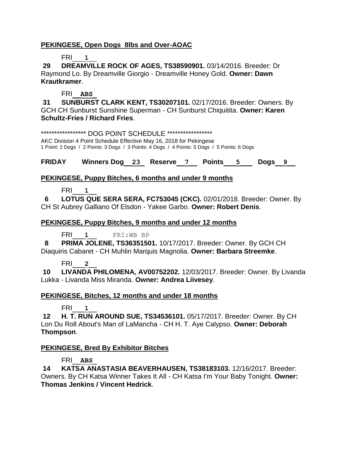### **PEKINGESE, Open Dogs 8lbs and Over-AOAC**

# FRI\_\_\_**1**\_\_

**29 DREAMVILLE ROCK OF AGES, TS38590901.** 03/14/2016. Breeder: Dr Raymond Lo. By Dreamville Giorgio - Dreamville Honey Gold. **Owner: Dawn Krautkramer**.

# FRI\_\_**ABS**\_

**31 SUNBURST CLARK KENT, TS30207101.** 02/17/2016. Breeder: Owners. By GCH CH Sunburst Sunshine Superman - CH Sunburst Chiquitita. **Owner: Karen Schultz-Fries / Richard Fries**.

\*\*\*\*\*\*\*\*\*\*\*\*\*\*\*\*\*\* DOG POINT SCHEDULE \*\*\*\*\*\*\*\*\*\*\*\*\*\*\*\*\* AKC Division 4 Point Schedule Effective May 16, 2018 for Pekingese 1 Point: 2 Dogs / 2 Points: 3 Dogs / 3 Points: 4 Dogs / 4 Points: 5 Dogs / 5 Points: 6 Dogs

**FRIDAY Winners Dog\_\_23\_ Reserve\_\_7\_\_ Points\_\_\_5\_\_\_ Dogs\_\_9\_\_**

# **PEKINGESE, Puppy Bitches, 6 months and under 9 months**

FRI\_\_\_**1**\_\_

 **6 LOTUS QUE SERA SERA, FC753045 (CKC).** 02/01/2018. Breeder: Owner. By CH St Aubrey Galliano Of Elsdon - Yakee Garbo. **Owner: Robert Denis**.

# **PEKINGESE, Puppy Bitches, 9 months and under 12 months**

FRI<sup>I</sup> **1**<br>FRI:WB BP

 **8 PRIMA JOLENE, TS36351501.** 10/17/2017. Breeder: Owner. By GCH CH Diaquiris Cabaret - CH Muhlin Marquis Magnolia. **Owner: Barbara Streemke**.

### FRI\_\_\_**2**\_\_

**10 LIVANDA PHILOMENA, AV00752202.** 12/03/2017. Breeder: Owner. By Livanda Lukka - Livanda Miss Miranda. **Owner: Andrea Liivesey**.

# **PEKINGESE, Bitches, 12 months and under 18 months**

FRI\_\_\_**1**\_\_

**12 H. T. RUN AROUND SUE, TS34536101.** 05/17/2017. Breeder: Owner. By CH Lon Du Roll About's Man of LaMancha - CH H. T. Aye Calypso. **Owner: Deborah Thompson**.

# **PEKINGESE, Bred By Exhibitor Bitches**

# FRI\_\_**ABS**\_

**14 KATSA ANASTASIA BEAVERHAUSEN, TS38183103.** 12/16/2017. Breeder: Owners. By CH Katsa Winner Takes It All - CH Katsa I'm Your Baby Tonight. **Owner: Thomas Jenkins / Vincent Hedrick**.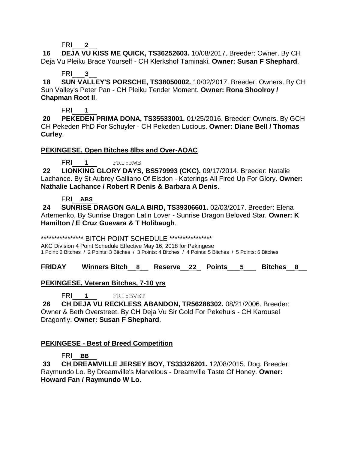FRI\_\_\_**2**\_\_

**16 DEJA VU KISS ME QUICK, TS36252603.** 10/08/2017. Breeder: Owner. By CH Deja Vu Pleiku Brace Yourself - CH Klerkshof Taminaki. **Owner: Susan F Shephard**.

# FRI\_\_\_**3**\_\_

**18 SUN VALLEY'S PORSCHE, TS38050002.** 10/02/2017. Breeder: Owners. By CH Sun Valley's Peter Pan - CH Pleiku Tender Moment. **Owner: Rona Shoolroy / Chapman Root II**.

FRI\_\_\_**1**\_\_

**20 PEKEDEN PRIMA DONA, TS35533001.** 01/25/2016. Breeder: Owners. By GCH CH Pekeden PhD For Schuyler - CH Pekeden Lucious. **Owner: Diane Bell / Thomas Curley**.

# **PEKINGESE, Open Bitches 8lbs and Over-AOAC**

FRI\_\_\_**1**\_\_ FRI:RWB

**22 LIONKING GLORY DAYS, BS579993 (CKC).** 09/17/2014. Breeder: Natalie Lachance. By St Aubrey Galliano Of Elsdon - Katerings All Fired Up For Glory. **Owner: Nathalie Lachance / Robert R Denis & Barbara A Denis**.

### FRI\_\_**ABS**\_

**24 SUNRISE DRAGON GALA BIRD, TS39306601.** 02/03/2017. Breeder: Elena Artemenko. By Sunrise Dragon Latin Lover - Sunrise Dragon Beloved Star. **Owner: K Hamilton / E Cruz Guevara & T Holibaugh**.

\*\*\*\*\*\*\*\*\*\*\*\*\*\*\*\*\*\*\*\* BITCH POINT SCHEDULE \*\*\*\*\*\*\*\*\*\*\*\*\*\*\*\*\*

AKC Division 4 Point Schedule Effective May 16, 2018 for Pekingese 1 Point: 2 Bitches / 2 Points: 3 Bitches / 3 Points: 4 Bitches / 4 Points: 5 Bitches / 5 Points: 6 Bitches

**FRIDAY Winners Bitch\_\_8\_\_ Reserve\_\_22\_ Points\_\_\_5\_\_\_ Bitches\_\_8\_\_**

# **PEKINGESE, Veteran Bitches, 7-10 yrs**

FRI<sub>1</sub><sup>FRI:BVET</sup>

**26 CH DEJA VU RECKLESS ABANDON, TR56286302.** 08/21/2006. Breeder: Owner & Beth Overstreet. By CH Deja Vu Sir Gold For Pekehuis - CH Karousel Dragonfly. **Owner: Susan F Shephard**.

# **PEKINGESE - Best of Breed Competition**

# FRI\_\_**BB**

**33 CH DREAMVILLE JERSEY BOY, TS33326201.** 12/08/2015. Dog. Breeder: Raymundo Lo. By Dreamville's Marvelous - Dreamville Taste Of Honey. **Owner: Howard Fan / Raymundo W Lo**.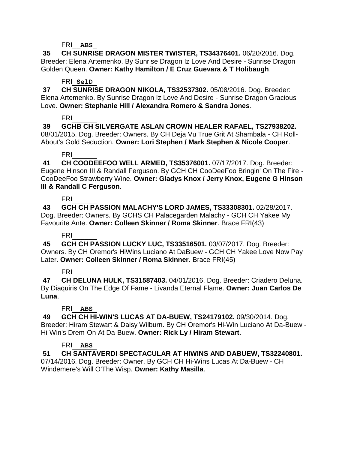#### FRI\_\_**ABS**\_

**35 CH SUNRISE DRAGON MISTER TWISTER, TS34376401.** 06/20/2016. Dog. Breeder: Elena Artemenko. By Sunrise Dragon Iz Love And Desire - Sunrise Dragon Golden Queen. **Owner: Kathy Hamilton / E Cruz Guevara & T Holibaugh**.

#### FRI\_**SelD**\_

**37 CH SUNRISE DRAGON NIKOLA, TS32537302.** 05/08/2016. Dog. Breeder: Elena Artemenko. By Sunrise Dragon Iz Love And Desire - Sunrise Dragon Gracious Love. **Owner: Stephanie Hill / Alexandra Romero & Sandra Jones**.

### FRI\_\_\_\_\_\_

**39 GCHB CH SILVERGATE ASLAN CROWN HEALER RAFAEL, TS27938202.**  08/01/2015. Dog. Breeder: Owners. By CH Deja Vu True Grit At Shambala - CH Roll-About's Gold Seduction. **Owner: Lori Stephen / Mark Stephen & Nicole Cooper**.

### FRI\_\_\_\_\_\_

**41 CH COODEEFOO WELL ARMED, TS35376001.** 07/17/2017. Dog. Breeder: Eugene Hinson III & Randall Ferguson. By GCH CH CooDeeFoo Bringin' On The Fire - CooDeeFoo Strawberry Wine. **Owner: Gladys Knox / Jerry Knox, Eugene G Hinson III & Randall C Ferguson**.

#### FRI\_\_\_\_\_\_

**43 GCH CH PASSION MALACHY'S LORD JAMES, TS33308301.** 02/28/2017. Dog. Breeder: Owners. By GCHS CH Palacegarden Malachy - GCH CH Yakee My Favourite Ante. **Owner: Colleen Skinner / Roma Skinner**. Brace FRI(43)

### FRI\_\_\_\_\_\_

**45 GCH CH PASSION LUCKY LUC, TS33516501.** 03/07/2017. Dog. Breeder: Owners. By CH Oremor's HiWins Luciano At DaBuew - GCH CH Yakee Love Now Pay Later. **Owner: Colleen Skinner / Roma Skinner**. Brace FRI(45)

# FRI\_\_\_\_\_\_

**47 CH DELUNA HULK, TS31587403.** 04/01/2016. Dog. Breeder: Criadero Deluna. By Diaquiris On The Edge Of Fame - Livanda Eternal Flame. **Owner: Juan Carlos De Luna**.

### FRI\_\_**ABS**\_

**49 GCH CH HI-WIN'S LUCAS AT DA-BUEW, TS24179102.** 09/30/2014. Dog. Breeder: Hiram Stewart & Daisy Wilburn. By CH Oremor's Hi-Win Luciano At Da-Buew - Hi-Win's Drem-On At Da-Buew. **Owner: Rick Ly / Hiram Stewart**.

### FRI\_\_**ABS**\_

**51 CH SANTAVERDI SPECTACULAR AT HIWINS AND DABUEW, TS32240801.** 

07/14/2016. Dog. Breeder: Owner. By GCH CH Hi-Wins Lucas At Da-Buew - CH Windemere's Will O'The Wisp. **Owner: Kathy Masilla**.